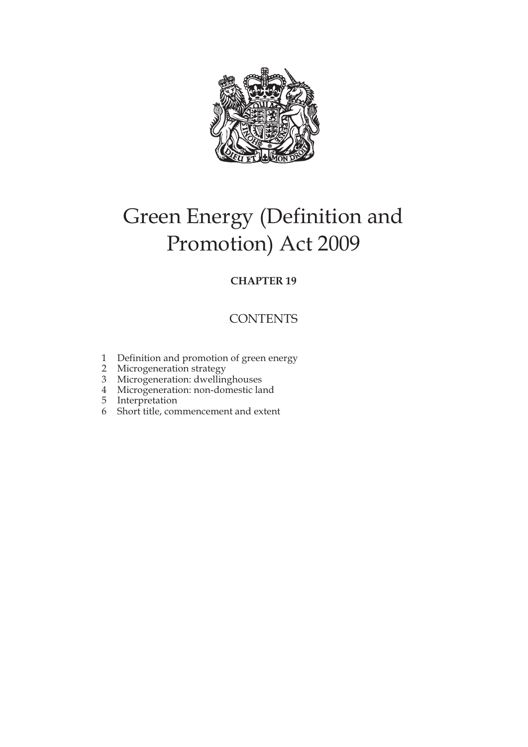

# Green Energy (Definition and Promotion) Act 2009

## **CHAPTER 19**

## **CONTENTS**

- 1 Definition and promotion of green energy
- 2 Microgeneration strategy
- 3 Microgeneration: dwellinghouses
- 4 Microgeneration: non-domestic land
- 5 Interpretation
- 6 Short title, commencement and extent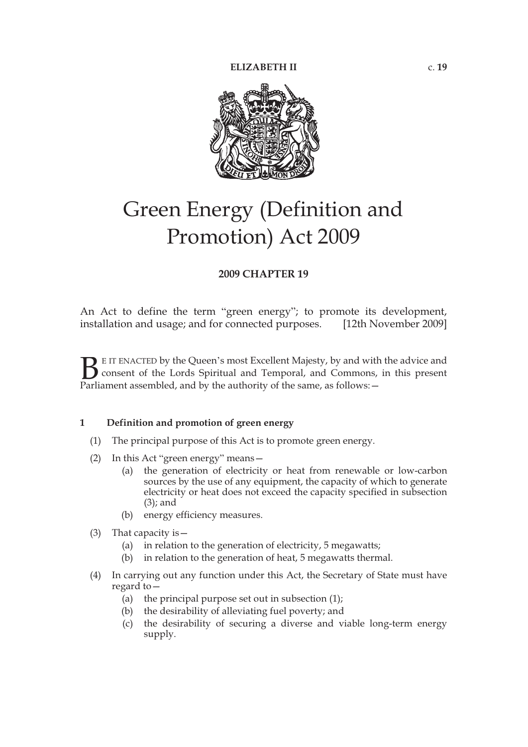

# Green Energy (Definition and Promotion) Act 2009

## **2009 CHAPTER 19**

An Act to define the term "green energy"; to promote its development, installation and usage; and for connected purposes. [12th November 2009]

E IT ENACTED by the Queen's most Excellent Majesty, by and with the advice and consent of the Lords Spiritual and Temporal, and Commons, in this present Parliament assembled, and by the authority of the same, as follows: - $B_{\text{Parti}}$ 

## **1 Definition and promotion of green energy**

- (1) The principal purpose of this Act is to promote green energy.
- (2) In this Act "green energy" means—
	- (a) the generation of electricity or heat from renewable or low-carbon sources by the use of any equipment, the capacity of which to generate electricity or heat does not exceed the capacity specified in subsection (3); and
	- (b) energy efficiency measures.
- (3) That capacity is—
	- (a) in relation to the generation of electricity, 5 megawatts;
	- (b) in relation to the generation of heat, 5 megawatts thermal.
- (4) In carrying out any function under this Act, the Secretary of State must have regard to—
	- (a) the principal purpose set out in subsection  $(1)$ ;
	- (b) the desirability of alleviating fuel poverty; and
	- (c) the desirability of securing a diverse and viable long-term energy supply.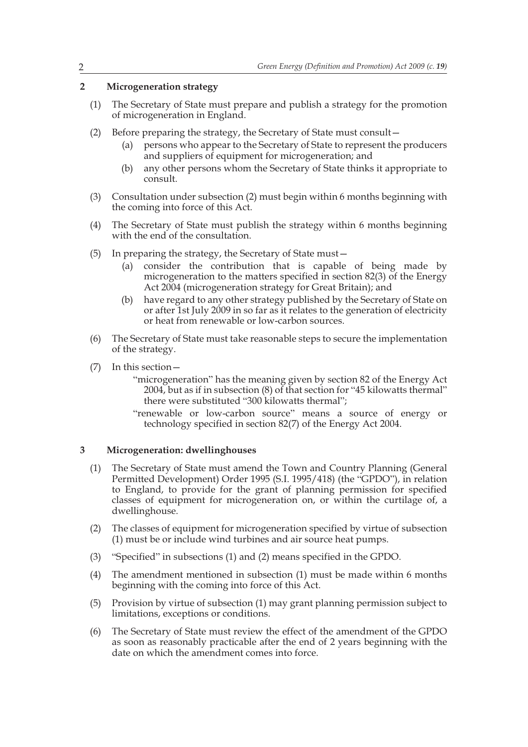## **2 Microgeneration strategy**

- (1) The Secretary of State must prepare and publish a strategy for the promotion of microgeneration in England.
- (2) Before preparing the strategy, the Secretary of State must consult—
	- (a) persons who appear to the Secretary of State to represent the producers and suppliers of equipment for microgeneration; and
	- (b) any other persons whom the Secretary of State thinks it appropriate to consult.
- (3) Consultation under subsection (2) must begin within 6 months beginning with the coming into force of this Act.
- (4) The Secretary of State must publish the strategy within 6 months beginning with the end of the consultation.
- (5) In preparing the strategy, the Secretary of State must—
	- (a) consider the contribution that is capable of being made by microgeneration to the matters specified in section 82(3) of the Energy Act 2004 (microgeneration strategy for Great Britain); and
	- (b) have regard to any other strategy published by the Secretary of State on or after 1st July 2009 in so far as it relates to the generation of electricity or heat from renewable or low-carbon sources.
- (6) The Secretary of State must take reasonable steps to secure the implementation of the strategy.
- (7) In this section—

"microgeneration" has the meaning given by section 82 of the Energy Act 2004, but as if in subsection (8) of that section for "45 kilowatts thermal" there were substituted "300 kilowatts thermal";

"renewable or low-carbon source" means a source of energy or technology specified in section 82(7) of the Energy Act 2004.

### **3 Microgeneration: dwellinghouses**

- (1) The Secretary of State must amend the Town and Country Planning (General Permitted Development) Order 1995 (S.I. 1995/418) (the "GPDO"), in relation to England, to provide for the grant of planning permission for specified classes of equipment for microgeneration on, or within the curtilage of, a dwellinghouse.
- (2) The classes of equipment for microgeneration specified by virtue of subsection (1) must be or include wind turbines and air source heat pumps.
- (3) "Specified" in subsections (1) and (2) means specified in the GPDO.
- (4) The amendment mentioned in subsection (1) must be made within 6 months beginning with the coming into force of this Act.
- (5) Provision by virtue of subsection (1) may grant planning permission subject to limitations, exceptions or conditions.
- (6) The Secretary of State must review the effect of the amendment of the GPDO as soon as reasonably practicable after the end of 2 years beginning with the date on which the amendment comes into force.